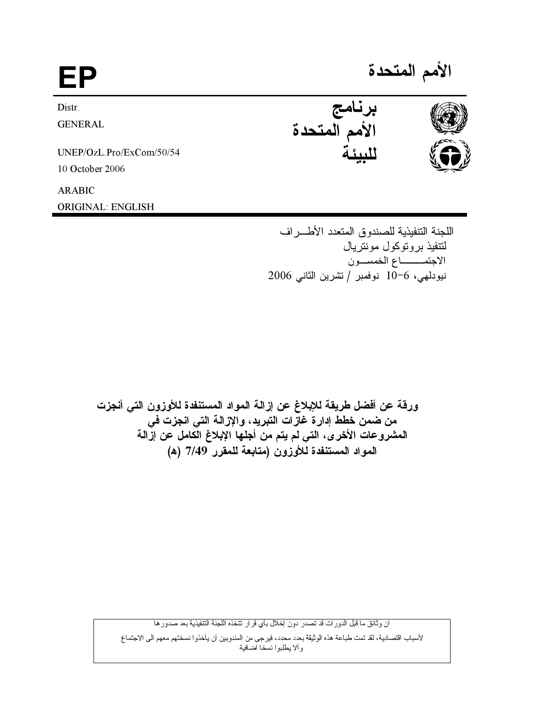| FP                       | الأمم المتحدة           |  |
|--------------------------|-------------------------|--|
| Distr.                   |                         |  |
| <b>GENERAL</b>           | برنامج<br>الأمم المتحدة |  |
| UNEP/OzL.Pro/ExCom/50/54 |                         |  |
| 10 October 2006          |                         |  |
| <b>ARABIC</b>            |                         |  |
| <b>ORIGINAL: ENGLISH</b> |                         |  |

اللجنة التتفيذية للصندوق المتعدد الأطـــر اف لتتفيذ بروتوكول مونتريال الاجتمــــاع الخمســون نيودلهي، 6−10 نوفمبر /تشرين الثاني 2006

ورقة عن أفضل طريقة للإبلاغ عن إزالة المواد المستنفدة للأوزون التي أنجزت من ضمن خطط إدارةً غازات التبريد، والإزالــة التي انجزت في المشروعات الأخرى، التي لم يتم من أجلها الإبلاغ الَّكامل عن إزَّالـة المواد المستنفدة للأوزون (متابعة للمقرر 7/49 (ه)

ان وثائق ما قبل الدورات قد تصدر دون إخلال بأي قرار نتخذه اللجنة التنفيذية بعد صدورها

لأسباب اقتصـادية، لقد تمت طباعة هذه الوثيقة بعدد محدد، فيرجى من المندوبين أن يأخذو ا نسختهم معهم الى الاجتماع<br>و ألا يطلبوا نسخا اضافية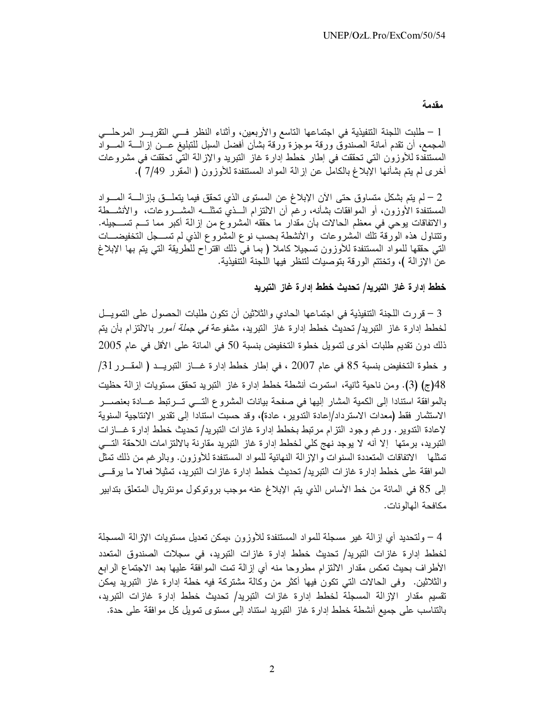### مقدمة

1 – طلبت اللجنة التنفيذية في اجتماعها التاسع والأربعين، وأثناء النظر فسي التقريـــر المرحلـــي المجمع، أن نقدم أمانة الصندوق ورقة موجزة ورقة بشأن أفضل السبل للتبليغ عـــن إزالــــة المــــواْد المستنفدة للأوزون التي تحققت في إطار خطط إدارة غاز التبريد والإزالة التي تحققت في مشروعات أخرى لم يتم بشأنها الإبلاغ بالكامل عن إزالة المواد المستنفدة للأوزون ( المقرر 7/49 ).

2 – لم يتم بشكل متساوق حتى الآن الإبلاغ عن المستوى الذي تحقق فيما يتعلـــق باز الــــة المــــواد المستنفدة الأوزون، أو الموافقات بشأنه، رغم أن الالتزام الــذي تمثلـــه المشـــروعات، والأنشــطة والاتفاقات يوحى في معظم الحالات بأن مقدار ما حققه المشروع من إزالة أكبر مما تـــم تســــجيله. ونتناول هذه الورقة نلك المشروعات ۖ والأنشطة بـحسب نوع المشروع الذي لم تســــجل التخفيضــــات التي حققها للمواد المستنفدة للأوزون تسجيلا كاملا ( بما في ذلك اقتراح للطريقة التي يتم بها الإبلاغ عن الإزالة )، وتختتم الورقة بتوصيات لتنظر فيها اللجنة التنفيذية.

#### خطط إدارة غاز التبريد/ تحديث خطط إدارة غاز التبريد

3 – قررت اللجنة التنفيذية في اجتماعها الحادي والثلاثين أن تكون طلبات الحصول على التمويــل لخطط إدارة غاز النبريد/ تحديث خطط إدارة غاز النبريد، مشفوعة *في جملة أمور* بالالتزام بأن يتم ذلك دون تقديم طلبات أخرى لتمويل خطوة التخفيض بنسبة 50 في المائة على الأقل في عام 2005 و خطوة التخفيض بنسبة 85 في عام 2007 ، في إطار خطط إدارة غـــاز التبريـــد ( المقـــرر 31/ 48(ج) (3). ومن ناحية ثانية، استمرت أنشطة خطط إدارة غاز التبريد تحقق مستويات إزالة حظيت بالمو افقة استنادا إلى الكمية المشار اليها في صفحة بيانات المشر و ع التـــي تـــر تبط عــــادة بعنصــــر الاستثمار فقط (معدات الاسترداد/إعادة التدوير ، عادة)، وقد حسبت استنادا إلى تقدير الإنتاجية السنوية لإعادة التدوير . ورغم وجود النزام مرتبط بخطط إدارة غازات التبريد/ تحديث خطط إدارة غـــازات التبريد، برمتها إلا أنه لا يوجد نهج كلي لخطط إدارة غاز التبريد مقارنة بالالتزامات اللاحقة التـــي تمثلها الاتفاقات المتعددة السنوات والإزالة النهائية للمواد المستنفدة للأوزون. وبالرغم من ذلك تمثل الموافقة على خطط إدارة غازات التبريد/ تحديث خطط إدارة غازات التبريد، تمثيلا فعالا ما يرقـــي إلى 85 في المائة من خط الأساس الذي يتم الإبلاغ عنه موجب بروتوكول مونتريال المتعلق بتدابير مكافحة الهالونات.

4 – ولتحديد أي إزالـة غير مسجلة للمواد المستنفدة للأوزون ،يمكن تعديل مستويات الإزالـة المسجلة لخطط إدارة غازات التبريد/ تحديث خطط إدارة غازات التبريد، في سجلات الصندوق المتعدد الأطراف بحيث تعكس مقدار الالتزام مطروحا منه أي إزالة تمت الموافقة عليها بعد الاجتماع الرابع والثلاثين. وفي الحالات التي تكون فيها أكثر من وكالة مشتركة فيه خطة إدارة غاز التبريد يمكن تقسيم مقدار الإزالة المسجلة لخطط إدارة غازات التبريد/ تحديث خطط إدارة غازات التبريد، بالنتاسب على جميع أنشطة خطط إدارة غاز النبريد استناد إلى مستوى تمويل كل موافقة على حدة.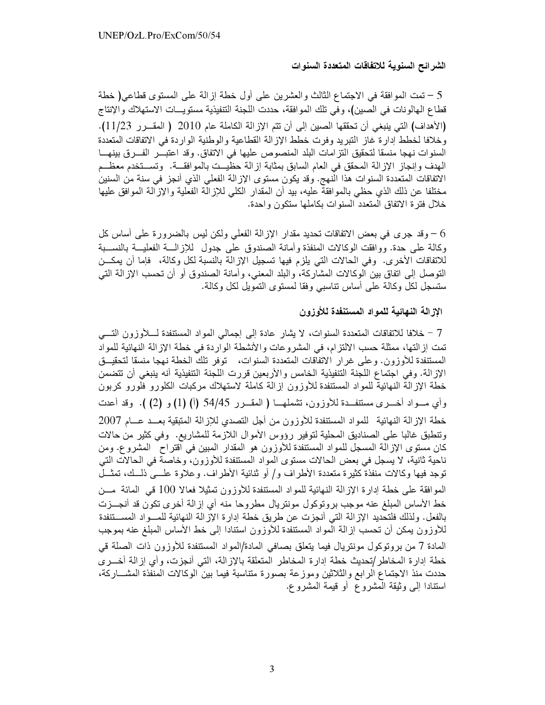### الشرائح السنوية للاتفاقات المتعددة السنوات

تمت الموافقة في الاجتماع الثالث والعشرين على أول خطة إزالة على المستوى قطاعي( خطة  $\sim 5$ قطاع الهالونات في الصين)، وفي تلك الموافقة، حددت اللجنة التنفيذية مستويـــات الاستهلاك والإنتاج (الأهداف) التي ينبغي أن تحققها الصين إلى أن تتم الإزالة الكاملة عام 2010 (المقـرر 11/23). و خلافا لخطط إدار ة غاز النبر يد وفرت خطط الإز الة القطاعية والوطنية الوار دة في الاتفاقات المتعددة السنوات نهجا منسقا لتحقيق التزامات البلد المنصوص عليها في الاتفاق. وقد اعتبـــر الفــــرق بينهـــا المهدف وإنجاز الإزالة المحقق في العام السابق بمثابة إزالة حظيــت بالموافقـــة. وتســـتخدم معظـــم الاتفاقات المتعددة السنوات هذا النهج. وقد يكون مستوى الإزالة الفعلى الذي أنجز في سنة من السنين مختلفا عن ذلك الذي حظي بالموافقة عليه، بيد أن المقدار الكلي للإزالة الفعلية والإزالة الموافق عليها خلال فترة الاتفاق المتعدد السنوات بكاملها ستكون واحدة.

وقد جرى في بعض الاتفاقات تحديد مقدار الإزالة الفعلي ولكن ليس بالضرورة على أساس كل  $\sim 6$ وكالة على حدة. ووافقت الوكالات المنفذة وأمانة الصندوق على جدول للإزالـــة الفعليـــة بالنســـبة للاتفاقات الأخرى. وفي الحالات التي يلزم فيها تسجيل الإزالة بالنسبة لكل وكالة، فإما أن يمكـــن التوصل إلى اتفاق بين الوكالات المشاركة، والبلد المعنى، وأمانة الصندوق أو أن تحسب الإزالة التي ستسجل لكل وكالـة علـي أساس تناسبـي وفقا لمستوى التمويل لكل وكالـة.

# الإز الة النهائية للمواد المستنفدة للأوزون

7 – خلافا للاتفاقات المتعددة السنوات، لا يشار عادة إلى إجمالي المواد المستنفدة لــــلأوزون التــــي تمت إز التها، ممثلة حسب الالتزام، في المشروعات والأنشطة الواردة في خطة الإزالة النهائية للمواد المستنفدة للأوزون. وعلى غرار الاتفاقات المتعددة السنوات، توفر تلك الخطة نـهجا منسقا لتحقيـــق الإزالة. وفي اجتماع اللجنة التنفيذية الخامس والأربعين قررت اللجنة التنفيذية أنه ينبغي أن تتضمن خطة الإزالة النهائية للمواد المستنفدة للأوزون إزالة كاملة لاستهلاك مركبات الكلورو فلورو كربون وأي مسواد أخسري مستنفـدة للأوزون، تشملهـــا ( المقـــرر 54/45 (أ) (1) و (2) ). وقد أعدت خطة الإزالة النهائية للمواد المستنفدة للأوزون من أجل التصدي للإزالة المتبقية بعــد عـــام 2007 وتنطبق غالبًا على الصناديق المحلية لتوفير رؤوس الأموال اللازمة للمشاريع. وفي كثير من حالات كان مستوى الإزالة المسجل للمواد المستنفدة للأوزون هو المقدار المبين في اقتراح المشروع. ومن ناحية ثانية، لا يسجل في بعض الحالات مستوى المواد المستنفدة للأوزون، وخاصة في الحالات التي توجد فيها وكالات منفذة كثيرة متعددة الأطراف و/ أو ثنائية الأطراف. وعلاوة علـــي ذلـــك، تمثـــل الموافقة على خطة إدارة الإزالة النهائية للمواد المستنفدة للأوزون تمثيلا فعالا 100 قي المائة مــن خط الأساس المبلغ عنه موجب بروتوكول مونتريال مطروحا منه أي إزالة أخرى تكون قد أنجـــزت بالفعل. ولذلك فلتحديد الإزالة التي أنجزت عن طريق خطة إدارة الإزالة النهائية للمـــواد المســـتنفدة للأوزون يمكن أن تحسب إزالة المواد المستنفدة للأوزون استنادا إلى خط الأساس المبلغ عنه بموجب المادة 7 من بروتوكول مونتريال فيما يتعلق بصافي المادة/المواد المستنفدة للأوزون ذات الصلة قي خطة إدارة المخاطر/تحديث خطة إدارة المخاطر المتعلقة بالإزالة، التي أنجزت، وأي إزالة أخـــرى حددت منذ الاجتماع الرابع والثلاثين وموزعة بصورة متتاسبة فيما بين الوكالات المنفذة المشـــاركة، استنادًا إلى وثَّيقة المُشروع أو قيمة المُشروع.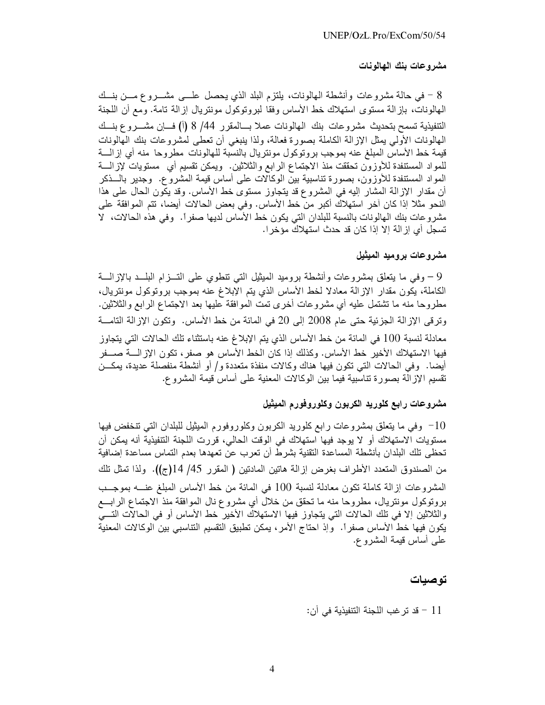## مشروعات بنك الهالونات

8 – في حالة مشروعات وأنشطة المهالونات، يلتزم البلد الذي يحصل علـــي مشـــروع مـــن بنـــك المهالونات، بازالة مستوى استهلاك خط الأساس وفقا لبروتوكول مونتريال إزالة تامة. ومع أن اللجنة التنفيذية تسمح بتحديث مشروعات بنك المهالونات عملا بسالمقرر 44/ 8 (أ) فساٍن مشــــروع بنسك المهالونات الأولى يمثل الإزالة الكاملة بصورة فعالة، ولذا ينبغي أن تعطي لمشروعات بنك المهالونات قيمة خط الأساس المبلغ عنه بموجب بروتوكول مونتريال بالنسبة للهالونات مطروحا منه أي إزالــــة للمواد المستنفدة للأوزون تحققت منذ الاجتماع الرابع والثلاثين. ويمكن تقسيم أي مستويات لإزالـــة المواد المستنفدة للأوزون، بصورة تناسبية بين الوكالات على أساس قيمة المشروع. وجدير بالـــذكر أن مقدار الإزالة المشار اليه في المشروع قد يتجاوز مستوى خط الأساس. وقد يكون الحال على هذا النحو مثلا إذا كان أخر استهلاك أكبر من خط الأساس. وفي بعض الحالات أيضا، تتم الموافقة على مشروعات بنك المهالونات بالنسبة للبلدان التبي يكون خط الأساس لديها صفراً. وفي هذه الحالات، لا تسجل أي إز الة إلا إذا كان قد حدث استهلاك مؤخرا.

# مشروعات بروميد الميثيل

9 – وفي ما يتعلَّق بمشروعات وأنشطة بروميد الميثيل التبي نتطوى على التـــزام البلـــد بالإزالـــة الكاملة، يكون مقدار الإزالة معادلا لخط الأساس الذي يتم الإبلاغ عنه بموجب بروتوكول مونتريال، مطروحا منه ما نشتمل عليه أي مشروعات أخرى تمت الموافقة عليها بعد الاجتماع الرابع والثلاثين. وتر في الإز الة الجزئية حتى عام 2008 إلى 20 في المائة من خط الأساس. وتكون الإز الة التامـــة معادلة لنسبة 100 في المائة من خط الأساس الذي يتم الإبلاغ عنه باستثناء تلك الحالات التي يتجاوز فيها الاستهلاك الأخير خط الأساس. وكذلك إذا كان الخط الأساس هو صفر ، تكون الإز الــــة صــــفر أيضا. وفي الحالات التي تكون فيها هناك وكالات منفذة متعددة و/ أو أنشطة منفصلة عديدة، يمكــن نقسيم الإزالة بصورة تتاسبية فيما بين الوكالات المعنية على أساس قيمة المشروع.

# مشروعات رابع كلوريد الكربون وكلوروفورم الميثيل

وفي ما يتعلق بمشروعات رابع كلوريد الكربون وكلوروفورم الميثيل للبلدان التي تنخفض فيها  $-10$ مستويات الاستهلاك أو لا يوجد فيها استهلاك في الوقت الحالي، قررت اللجنة التنفيذية أنه يمكن أن تحظى تلك البلدان بأنشطة المساعدة التقنية بشرط أن تعرب عن تعهدها بعدم التماس مساعدة إضافية من الصندوق المتعدد الأطراف بغرض إزالة هاتين المادتين ( المقرر 45/ 14(ج)). ولذا تمثل تلك الْمَشْرُوعَاتِ إزْالَةِ كَامِلَةٍ نَكُونٍ مَعَادَلَةٍ لِنَسْبَةِ 100 في الْمَائَةِ مِنْ خَطِّ الأَساس المبلغ عنسه بموجِّب بروتوكول مونتريال، مطروحا منه ما تحقق من خلال أي مشروع نال الموافقة منذ الاجتماع الرابـــع والثلاثين إلا في تلك الحالات التي يتجاوز فيها الاستهلاك الأخير خط الأساس أو في الحالات التسي يكون فيها خط الأساس صفراً. ۖ وإذ احتاج الأمر، يمكن تطبيق التقسيم التناسبي بين الوكالات المعنية علمي أساس قيمة المشروع.

# توصيات

## 11 – قد تر غب اللجنة التنفيذية في أن: